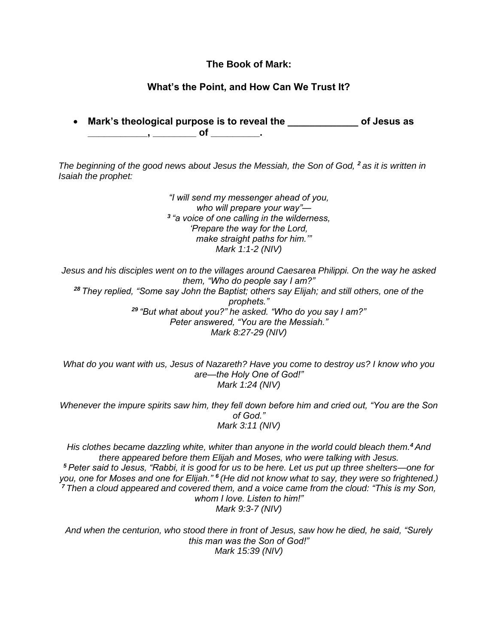## **The Book of Mark:**

## **What's the Point, and How Can We Trust It?**

• **Mark's theological purpose is to reveal the \_\_\_\_\_\_\_\_\_\_\_\_\_ of Jesus as \_\_\_\_\_\_\_\_\_\_\_, \_\_\_\_\_\_\_\_ of \_\_\_\_\_\_\_\_\_.**

*The beginning of the good news about Jesus the Messiah, the Son of God, <sup>2</sup> as it is written in Isaiah the prophet:*

> *"I will send my messenger ahead of you, who will prepare your way"— 3 "a voice of one calling in the wilderness, 'Prepare the way for the Lord, make straight paths for him.'" Mark 1:1-2 (NIV)*

*Jesus and his disciples went on to the villages around Caesarea Philippi. On the way he asked them, "Who do people say I am?" <sup>28</sup> They replied, "Some say John the Baptist; others say Elijah; and still others, one of the prophets." <sup>29</sup> "But what about you?" he asked. "Who do you say I am?" Peter answered, "You are the Messiah." Mark 8:27-29 (NIV)*

*What do you want with us, Jesus of Nazareth? Have you come to destroy us? I know who you are—the Holy One of God!" Mark 1:24 (NIV)*

*Whenever the impure spirits saw him, they fell down before him and cried out, "You are the Son of God." Mark 3:11 (NIV)*

*His clothes became dazzling white, whiter than anyone in the world could bleach them.<sup>4</sup> And there appeared before them Elijah and Moses, who were talking with Jesus. <sup>5</sup> Peter said to Jesus, "Rabbi, it is good for us to be here. Let us put up three shelters—one for you, one for Moses and one for Elijah." <sup>6</sup> (He did not know what to say, they were so frightened.) <sup>7</sup> Then a cloud appeared and covered them, and a voice came from the cloud: "This is my Son, whom I love. Listen to him!" Mark 9:3-7 (NIV)*

*And when the centurion, who stood there in front of Jesus, saw how he died, he said, "Surely this man was the Son of God!" Mark 15:39 (NIV)*